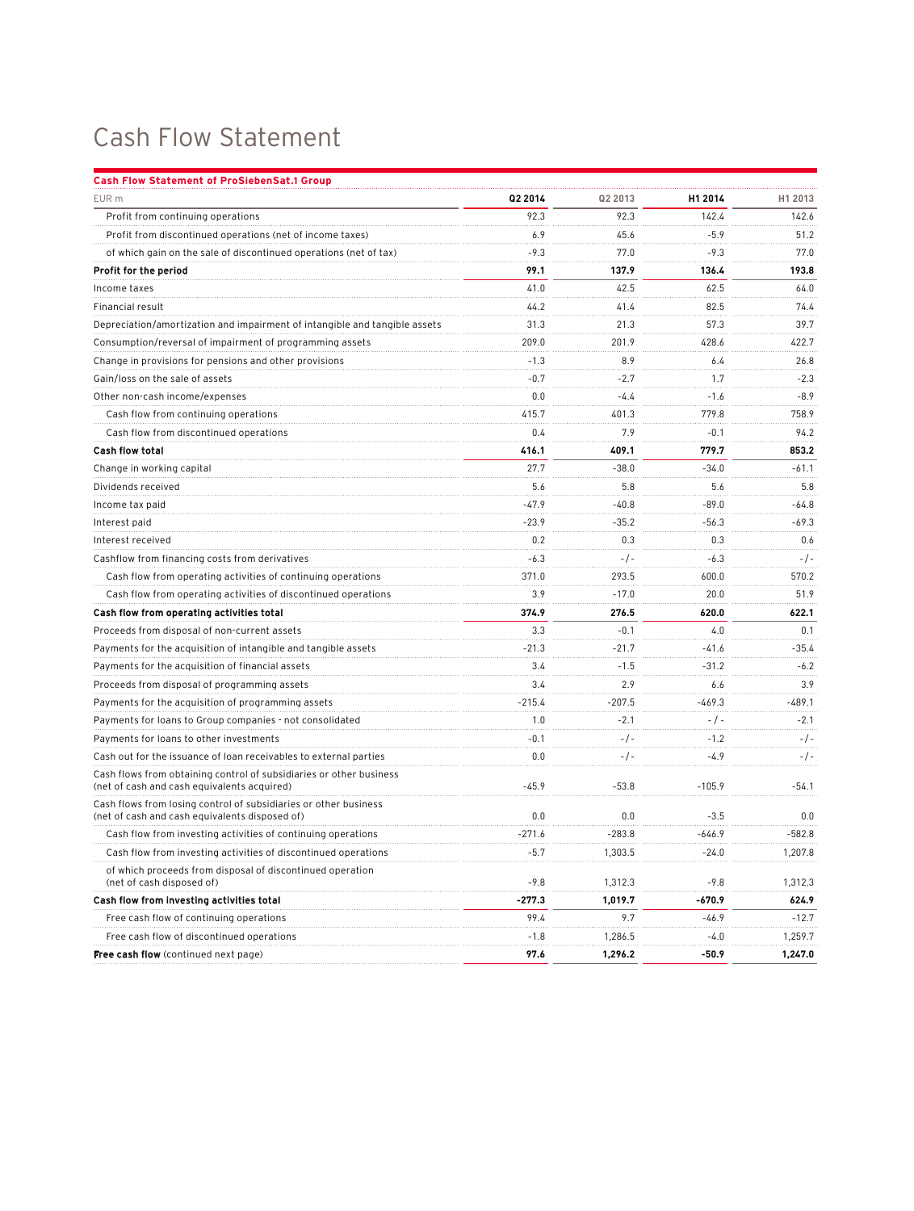## Cash Flow Statement

| <b>Cash Flow Statement of ProSiebenSat.1 Group</b>                                                                 |          |           |           |         |
|--------------------------------------------------------------------------------------------------------------------|----------|-----------|-----------|---------|
| EUR m                                                                                                              | Q2 2014  | Q2 2013   | H1 2014   | H1 2013 |
| Profit from continuing operations                                                                                  | 92.3     | 92.3      | 142.4     | 142.6   |
| Profit from discontinued operations (net of income taxes)                                                          | 6.9      | 45.6      | $-5.9$    | 51.2    |
| of which gain on the sale of discontinued operations (net of tax)                                                  | $-9.3$   | 77.0      | $-9.3$    | 77.0    |
| Profit for the period                                                                                              | 99.1     | 137.9     | 136.4     | 193.8   |
| Income taxes                                                                                                       | 41.0     | 42.5      | 62.5      | 64.0    |
| Financial result                                                                                                   | 44.2     | 41.4      | 82.5      | 74.4    |
| Depreciation/amortization and impairment of intangible and tangible assets                                         | 31.3     | 21.3      | 57.3      | 39.7    |
| Consumption/reversal of impairment of programming assets                                                           | 209.0    | 201.9     | 428.6     | 422.7   |
| Change in provisions for pensions and other provisions                                                             | $-1.3$   | 8.9       | 6.4       | 26.8    |
| Gain/loss on the sale of assets                                                                                    | $-0.7$   | $-2.7$    | 1.7       | $-2.3$  |
| Other non-cash income/expenses                                                                                     | 0.0      | $-4.4$    | $-1.6$    | $-8.9$  |
| Cash flow from continuing operations                                                                               | 415.7    | 401.3     | 779.8     | 758.9   |
| Cash flow from discontinued operations                                                                             | 0.4      | 7.9       | $-0.1$    | 94.2    |
| <b>Cash flow total</b>                                                                                             | 416.1    | 409.1     | 779.7     | 853.2   |
| Change in working capital                                                                                          | 27.7     | $-38.0$   | $-34.0$   | $-61.1$ |
| Dividends received                                                                                                 | 5.6      | 5.8       | 5.6       | 5.8     |
| Income tax paid                                                                                                    | $-47.9$  | $-40.8$   | $-89.0$   | $-64.8$ |
| Interest paid                                                                                                      | $-23.9$  | $-35.2$   | $-56.3$   | $-69.3$ |
| Interest received                                                                                                  | 0.2      | 0.3       | 0.3       | 0.6     |
| Cashflow from financing costs from derivatives                                                                     | $-6.3$   | $-/-$     | $-6.3$    | $-/-$   |
| Cash flow from operating activities of continuing operations                                                       | 371.0    | 293.5     | 600.0     | 570.2   |
| Cash flow from operating activities of discontinued operations                                                     | 3.9      | $-17.0$   | 20.0      | 51.9    |
| Cash flow from operating activities total                                                                          | 374.9    | 276.5     | 620.0     | 622.1   |
| Proceeds from disposal of non-current assets                                                                       | 3.3      | $-0.1$    | 4.0       | 0.1     |
| Payments for the acquisition of intangible and tangible assets                                                     | $-21.3$  | $-21.7$   | $-41.6$   | $-35.4$ |
| Payments for the acquisition of financial assets                                                                   | 3.4      | $-1.5$    | $-31.2$   | $-6.2$  |
| Proceeds from disposal of programming assets                                                                       | 3.4      | 2.9       | 6.6       | 3.9     |
| Payments for the acquisition of programming assets                                                                 | $-215.4$ | $-207.5$  | $-469.3$  | -489.1  |
| Payments for loans to Group companies - not consolidated                                                           | 1.0      | $-2.1$    | $-$ / $-$ | $-2.1$  |
| Payments for loans to other investments                                                                            | $-0.1$   | $-/-$     | $-1.2$    | $-/-$   |
| Cash out for the issuance of loan receivables to external parties                                                  | 0.0      | $-$ / $-$ | $-4.9$    | $-/-$   |
| Cash flows from obtaining control of subsidiaries or other business<br>(net of cash and cash equivalents acquired) | $-45.9$  | $-53.8$   | $-105.9$  | $-54.1$ |
| Cash flows from losing control of subsidiaries or other business<br>(net of cash and cash equivalents disposed of) | 0.0      | 0.0       | $-3.5$    | 0.0     |
| Cash flow from investing activities of continuing operations                                                       | $-271.6$ | $-283.8$  | $-646.9$  | -582.8  |
| Cash flow from investing activities of discontinued operations                                                     | $-5.7$   | 1,303.5   | $-24.0$   | 1,207.8 |
| of which proceeds from disposal of discontinued operation<br>(net of cash disposed of)                             | $-9.8$   | 1,312.3   | $-9.8$    | 1,312.3 |
| Cash flow from investing activities total                                                                          | $-277.3$ | 1,019.7   | $-670.9$  | 624.9   |
| Free cash flow of continuing operations                                                                            | 99.4     | 9.7       | $-46.9$   | $-12.7$ |
| Free cash flow of discontinued operations                                                                          | $-1.8$   | 1,286.5   | $-4.0$    | 1,259.7 |
| Free cash flow (continued next page)                                                                               | 97.6     | 1,296.2   | -50.9     | 1,247.0 |